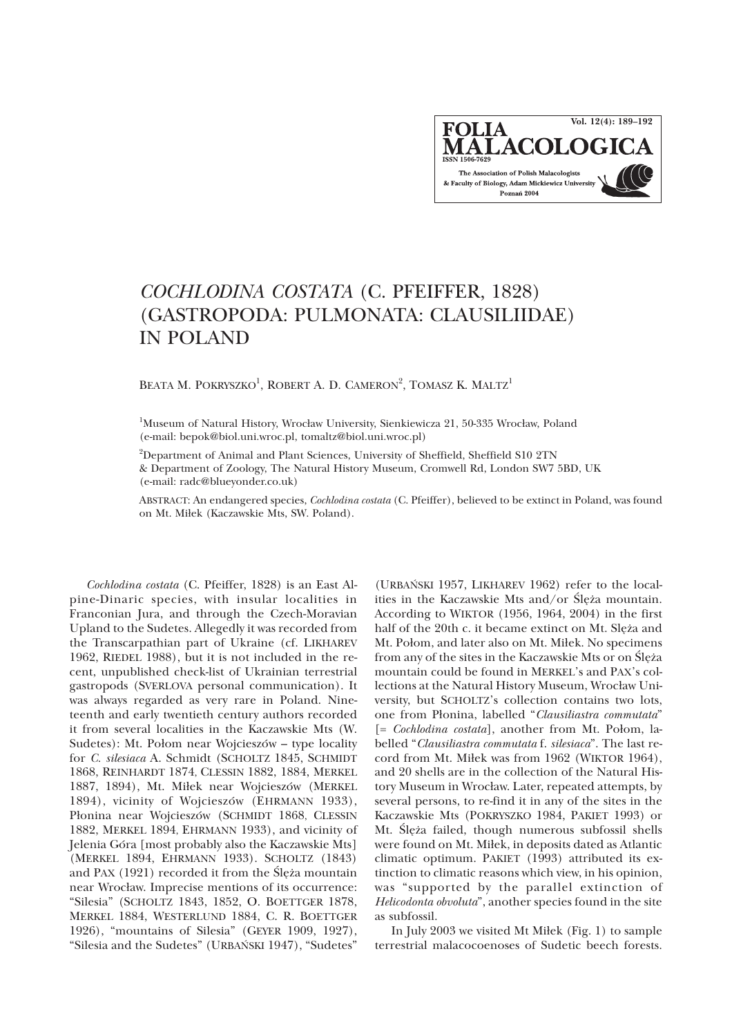**Vol. 12(4): 189–192**FOLIA **ALACOLOC** The Association of Polish Malacologists & Faculty of Biology, Adam Mickiewicz University Poznań 2004

## *COCHLODINA COSTATA* (C. PFEIFFER, 1828) (GASTROPODA: PULMONATA: CLAUSILIIDAE) IN POLAND

BEATA M. POKRYSZKO<sup>1</sup>, ROBERT A. D. CAMERON<sup>2</sup>, TOMASZ K. MALTZ<sup>1</sup>

<sup>1</sup>Museum of Natural History, Wrocław University, Sienkiewicza 21, 50-335 Wrocław, Poland (e-mail: bepok@biol.uni.wroc.pl, tomaltz@biol.uni.wroc.pl)

 $^{2}$ Department of Animal and Plant Sciences, University of Sheffield, Sheffield S10 2TN & Department of Zoology, The Natural History Museum, Cromwell Rd, London SW7 5BD, UK (e-mail: radc@blueyonder.co.uk)

ABSTRACT: An endangered species, *Cochlodina costata* (C. Pfeiffer), believed to be extinct in Poland, was found on Mt. Mi³ek (Kaczawskie Mts, SW. Poland).

*Cochlodina costata* (C. Pfeiffer, 1828) is an East Alpine-Dinaric species, with insular localities in Franconian Jura, and through the Czech-Moravian Upland to the Sudetes. Allegedly it was recorded from the Transcarpathian part of Ukraine (cf. LIKHAREV 1962, RIEDEL 1988), but it is not included in the recent, unpublished check-list of Ukrainian terrestrial gastropods (SVERLOVA personal communication). It was always regarded as very rare in Poland. Nineteenth and early twentieth century authors recorded it from several localities in the Kaczawskie Mts (W. Sudetes): Mt. Połom near Wojcieszów – type locality for *C. silesiaca* A. Schmidt (SCHOLTZ 1845, SCHMIDT 1868, REINHARDT 1874, CLESSIN 1882, 1884, MERKEL 1887, 1894), Mt. Miłek near Wojcieszów (MERKEL 1894), vicinity of Wojcieszów (EHRMANN 1933), Płonina near Wojcieszów (SCHMIDT 1868, CLESSIN 1882, MERKEL 1894, EHRMANN 1933), and vicinity of Jelenia Góra [most probably also the Kaczawskie Mts] (MERKEL 1894, EHRMANN 1933). SCHOLTZ (1843) and PAX  $(1921)$  recorded it from the Sle $\dot{\mathbf{z}}$  mountain near Wrocław. Imprecise mentions of its occurrence: "Silesia" (SCHOLTZ 1843, 1852, O. BOETTGER 1878, MERKEL 1884, WESTERLUND 1884, C. R. BOETTGER 1926), "mountains of Silesia" (GEYER 1909, 1927), "Silesia and the Sudetes" (URBAÑSKI 1947), "Sudetes"

(URBAÑSKI 1957, LIKHAREV 1962) refer to the localities in the Kaczawskie Mts and/or Ślęża mountain. According to WIKTOR (1956, 1964, 2004) in the first half of the 20th c. it became extinct on Mt. Sleża and Mt. Połom, and later also on Mt. Miłek. No specimens from any of the sites in the Kaczawskie Mts or on Ślęża mountain could be found in MERKEL's and PAX's collections at the Natural History Museum, Wrocław University, but SCHOLTZ's collection contains two lots, one from P³onina, labelled "*Clausiliastra commutata*" [= *Cochlodina costata*], another from Mt. Połom, labelled "*Clausiliastra commutata* f. *silesiaca*". The last record from Mt. Miłek was from 1962 (WIKTOR 1964), and 20 shells are in the collection of the Natural History Museum in Wrocław. Later, repeated attempts, by several persons, to re-find it in any of the sites in the Kaczawskie Mts (POKRYSZKO 1984, PAKIET 1993) or Mt. Ślęża failed, though numerous subfossil shells were found on Mt. Miłek, in deposits dated as Atlantic climatic optimum. PAKIET (1993) attributed its extinction to climatic reasons which view, in his opinion, was "supported by the parallel extinction of *Helicodonta obvoluta*", another species found in the site as subfossil.

In July 2003 we visited Mt Miłek (Fig. 1) to sample terrestrial malacocoenoses of Sudetic beech forests.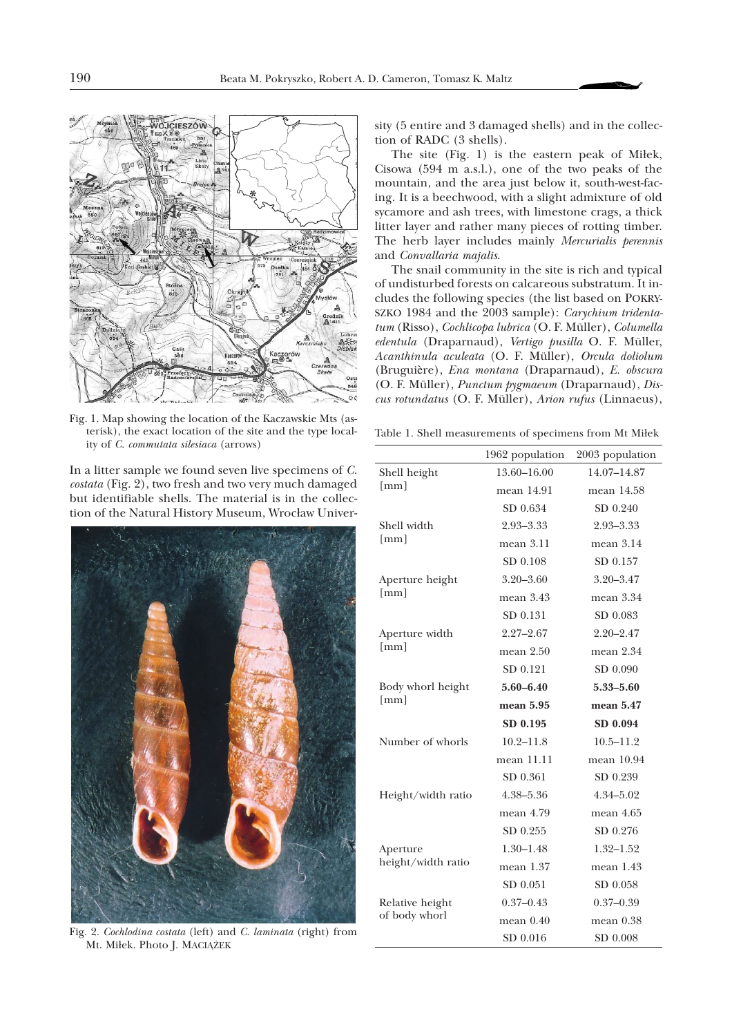

Fig. 1. Map showing the location of the Kaczawskie Mts (asterisk), the exact location of the site and the type locality of *C. commutata silesiaca* (arrows)

In a litter sample we found seven live specimens of *C. costata* (Fig. 2), two fresh and two very much damaged but identifiable shells. The material is in the collection of the Natural History Museum, Wrocław Univer-



Fig. 2. *Cochlodina costata* (left) and *C. laminata* (right) from Mt. Miłek. Photo J. MACIĄŻEK

sity (5 entire and 3 damaged shells) and in the collection of RADC (3 shells).

The site (Fig. 1) is the eastern peak of Miłek, Cisowa (594 m a.s.l.), one of the two peaks of the mountain, and the area just below it, south-west-facing. It is a beechwood, with a slight admixture of old sycamore and ash trees, with limestone crags, a thick litter layer and rather many pieces of rotting timber. The herb layer includes mainly *Mercurialis perennis* and *Convallaria majalis*.

The snail community in the site is rich and typical of undisturbed forests on calcareous substratum. It includes the following species (the list based on POKRY-SZKO 1984 and the 2003 sample): *Carychium tridentatum* (Risso), *Cochlicopa lubrica* (O. F. Müller), *Columella edentula* (Draparnaud), *Vertigo pusilla* O. F. Müller, *Acanthinula aculeata* (O. F. Müller), *Orcula doliolum* (Bruguière), *Ena montana* (Draparnaud), *E. obscura* (O. F. Müller), *Punctum pygmaeum* (Draparnaud), *Discus rotundatus* (O. F. Müller), *Arion rufus* (Linnaeus),

Table 1. Shell measurements of specimens from Mt Miłek

|                                           | 1962 population | 2003 population |
|-------------------------------------------|-----------------|-----------------|
| Shell height<br>$\lceil$ mm $\rceil$      | 13.60-16.00     | 14.07-14.87     |
|                                           | mean 14.91      | mean 14.58      |
|                                           | SD 0.634        | SD 0.240        |
| Shell width<br>[mm]                       | 2.93-3.33       | $2.93 - 3.33$   |
|                                           | mean 3.11       | mean $3.14$     |
|                                           | SD 0.108        | SD 0.157        |
| Aperture height<br>[mm]                   | $3.20 - 3.60$   | $3.20 - 3.47$   |
|                                           | mean 3.43       | mean 3.34       |
|                                           | SD 0.131        | SD 0.083        |
| Aperture width<br>[mm]                    | $2.27 - 2.67$   | $2.20 - 2.47$   |
|                                           | mean $2.50$     | mean 2.34       |
|                                           | SD 0.121        | SD 0.090        |
| Body whorl height<br>$\lceil$ mm $\rceil$ | $5.60 - 6.40$   | 5.33-5.60       |
|                                           | mean 5.95       | mean 5.47       |
|                                           | SD 0.195        | SD 0.094        |
| Number of whorls                          | $10.2 - 11.8$   | $10.5 - 11.2$   |
|                                           | mean 11.11      | mean 10.94      |
|                                           | SD 0.361        | SD 0.239        |
| Height/width ratio                        | 4.38-5.36       | 4.34-5.02       |
|                                           | mean 4.79       | mean $4.65$     |
|                                           | SD 0.255        | SD 0.276        |
| Aperture<br>height/width ratio            | $1.30 - 1.48$   | $1.32 - 1.52$   |
|                                           | mean 1.37       | mean $1.43$     |
|                                           | SD 0.051        | SD 0.058        |
| Relative height<br>of body whorl          | $0.37 - 0.43$   | $0.37 - 0.39$   |
|                                           | mean $0.40$     | mean $0.38$     |
|                                           | SD 0.016        | SD 0.008        |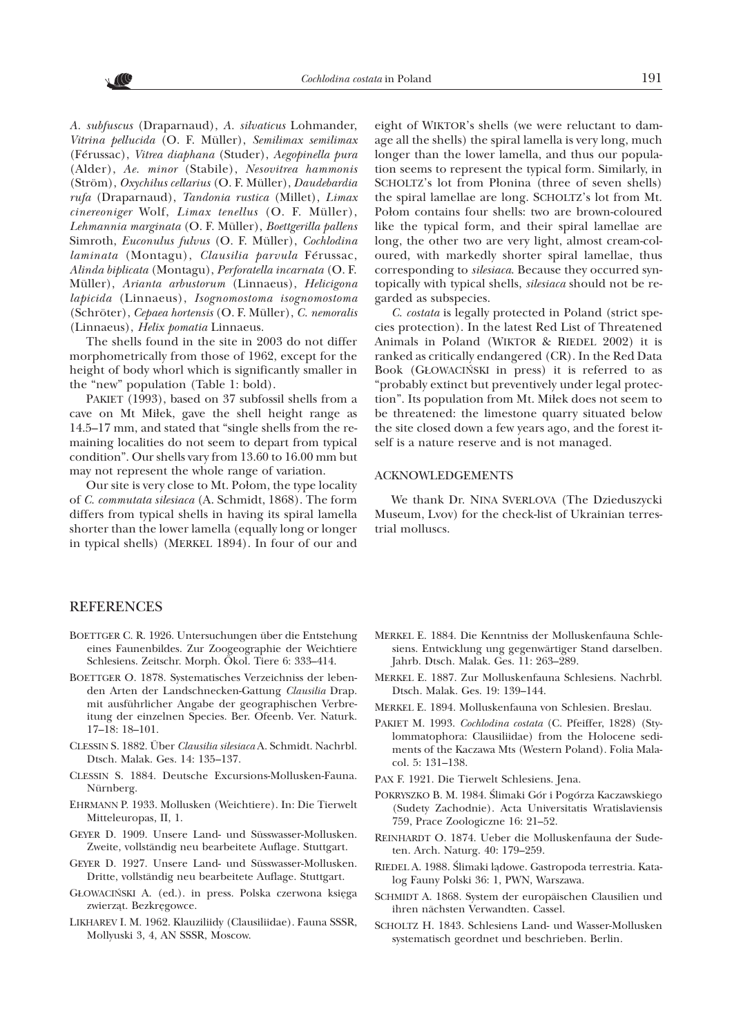

*A. subfuscus* (Draparnaud), *A. silvaticus* Lohmander, *Vitrina pellucida* (O. F. Müller), *Semilimax semilimax* (Férussac), *Vitrea diaphana* (Studer), *Aegopinella pura* (Alder), *Ae. minor* (Stabile), *Nesovitrea hammonis* (Ström), *Oxychilus cellarius* (O. F. Müller), *Daudebardia rufa* (Draparnaud), *Tandonia rustica* (Millet), *Limax cinereoniger* Wolf, *Limax tenellus* (O. F. Müller), *Lehmannia marginata* (O. F. Müller), *Boettgerilla pallens* Simroth, *Euconulus fulvus* (O. F. Müller), *Cochlodina laminata* (Montagu), *Clausilia parvula* Férussac, *Alinda biplicata* (Montagu), *Perforatella incarnata* (O. F. Müller), *Arianta arbustorum* (Linnaeus), *Helicigona lapicida* (Linnaeus), *Isognomostoma isognomostoma* (Schröter), *Cepaea hortensis* (O. F. Müller), *C. nemoralis* (Linnaeus), *Helix pomatia* Linnaeus.

The shells found in the site in 2003 do not differ morphometrically from those of 1962, except for the height of body whorl which is significantly smaller in the "new" population (Table 1: bold).

PAKIET (1993), based on 37 subfossil shells from a cave on Mt Miłek, gave the shell height range as 14.5–17 mm, and stated that "single shells from the remaining localities do not seem to depart from typical condition". Our shells vary from 13.60 to 16.00 mm but may not represent the whole range of variation.

Our site is very close to Mt. Połom, the type locality of *C. commutata silesiaca* (A. Schmidt, 1868). The form differs from typical shells in having its spiral lamella shorter than the lower lamella (equally long or longer in typical shells) (MERKEL 1894). In four of our and

eight of WIKTOR's shells (we were reluctant to damage all the shells) the spiral lamella is very long, much longer than the lower lamella, and thus our population seems to represent the typical form. Similarly, in SCHOLTZ's lot from Płonina (three of seven shells) the spiral lamellae are long. SCHOLTZ's lot from Mt. Połom contains four shells: two are brown-coloured like the typical form, and their spiral lamellae are long, the other two are very light, almost cream-coloured, with markedly shorter spiral lamellae, thus corresponding to *silesiaca*. Because they occurred syntopically with typical shells, *silesiaca* should not be regarded as subspecies.

*C. costata* is legally protected in Poland (strict species protection). In the latest Red List of Threatened Animals in Poland (WIKTOR & RIEDEL 2002) it is ranked as critically endangered (CR). In the Red Data Book (G£OWACIÑSKI in press) it is referred to as "probably extinct but preventively under legal protection". Its population from Mt. Miłek does not seem to be threatened: the limestone quarry situated below the site closed down a few years ago, and the forest itself is a nature reserve and is not managed.

## ACKNOWLEDGEMENTS

We thank Dr. NINA SVERLOVA (The Dzieduszycki Museum, Lvov) for the check-list of Ukrainian terrestrial molluscs.

## REFERENCES

- BOETTGER C. R. 1926. Untersuchungen über die Entstehung eines Faunenbildes. Zur Zoogeographie der Weichtiere Schlesiens. Zeitschr. Morph. Ökol. Tiere 6: 333–414.
- BOETTGER O. 1878. Systematisches Verzeichniss der lebenden Arten der Landschnecken-Gattung *Clausilia* Drap. mit ausführlicher Angabe der geographischen Verbreitung der einzelnen Species. Ber. Ofeenb. Ver. Naturk. 17–18: 18–101.
- CLESSIN S. 1882. Über *Clausilia silesiaca* A. Schmidt. Nachrbl. Dtsch. Malak. Ges. 14: 135–137.
- CLESSIN S. 1884. Deutsche Excursions-Mollusken-Fauna. Nürnberg.
- EHRMANN P. 1933. Mollusken (Weichtiere). In: Die Tierwelt Mitteleuropas, II, 1.
- GEYER D. 1909. Unsere Land- und Süsswasser-Mollusken. Zweite, vollständig neu bearbeitete Auflage. Stuttgart.
- GEYER D. 1927. Unsere Land- und Süsswasser-Mollusken. Dritte, vollständig neu bearbeitete Auflage. Stuttgart.
- GŁOWACIŃSKI A. (ed.). in press. Polska czerwona księga zwierząt. Bezkręgowce.
- LIKHAREV I. M. 1962. Klauziliidy (Clausiliidae). Fauna SSSR, Mollyuski 3, 4, AN SSSR, Moscow.
- MERKEL E. 1884. Die Kenntniss der Molluskenfauna Schlesiens. Entwicklung ung gegenwärtiger Stand darselben. Jahrb. Dtsch. Malak. Ges. 11: 263–289.
- MERKEL E. 1887. Zur Molluskenfauna Schlesiens. Nachrbl. Dtsch. Malak. Ges. 19: 139–144.
- MERKEL E. 1894. Molluskenfauna von Schlesien. Breslau.
- PAKIET M. 1993. *Cochlodina costata* (C. Pfeiffer, 1828) (Stylommatophora: Clausiliidae) from the Holocene sediments of the Kaczawa Mts (Western Poland). Folia Malacol. 5: 131–138.
- PAX F. 1921. Die Tierwelt Schlesiens. Jena.
- POKRYSZKO B. M. 1984. Ślimaki Gór i Pogórza Kaczawskiego (Sudety Zachodnie). Acta Universitatis Wratislaviensis 759, Prace Zoologiczne 16: 21–52.
- REINHARDT O. 1874. Ueber die Molluskenfauna der Sudeten. Arch. Naturg. 40: 179–259.
- RIEDEL A. 1988. Ślimaki lądowe. Gastropoda terrestria. Katalog Fauny Polski 36: 1, PWN, Warszawa.
- SCHMIDT A. 1868. System der europäischen Clausilien und ihren nächsten Verwandten. Cassel.
- SCHOLTZ H. 1843. Schlesiens Land- und Wasser-Mollusken systematisch geordnet und beschrieben. Berlin.